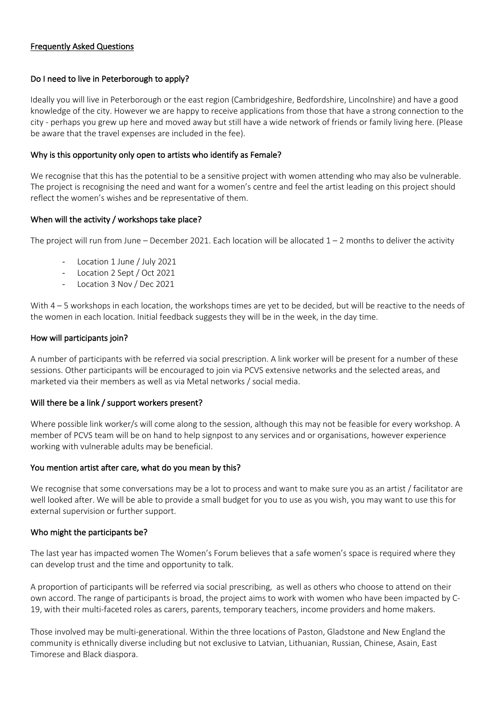# Frequently Asked Questions

# Do I need to live in Peterborough to apply?

Ideally you will live in Peterborough or the east region (Cambridgeshire, Bedfordshire, Lincolnshire) and have a good knowledge of the city. However we are happy to receive applications from those that have a strong connection to the city - perhaps you grew up here and moved away but still have a wide network of friends or family living here. (Please be aware that the travel expenses are included in the fee).

## Why is this opportunity only open to artists who identify as Female?

We recognise that this has the potential to be a sensitive project with women attending who may also be vulnerable. The project is recognising the need and want for a women's centre and feel the artist leading on this project should reflect the women's wishes and be representative of them.

# When will the activity / workshops take place?

The project will run from June – December 2021. Each location will be allocated  $1 - 2$  months to deliver the activity

- Location 1 June / July 2021
- Location 2 Sept / Oct 2021
- Location 3 Nov / Dec 2021

With 4 – 5 workshops in each location, the workshops times are yet to be decided, but will be reactive to the needs of the women in each location. Initial feedback suggests they will be in the week, in the day time.

# How will participants join?

A number of participants with be referred via social prescription. A link worker will be present for a number of these sessions. Other participants will be encouraged to join via PCVS extensive networks and the selected areas, and marketed via their members as well as via Metal networks / social media.

### Will there be a link / support workers present?

Where possible link worker/s will come along to the session, although this may not be feasible for every workshop. A member of PCVS team will be on hand to help signpost to any services and or organisations, however experience working with vulnerable adults may be beneficial.

### You mention artist after care, what do you mean by this?

We recognise that some conversations may be a lot to process and want to make sure you as an artist / facilitator are well looked after. We will be able to provide a small budget for you to use as you wish, you may want to use this for external supervision or further support.

### Who might the participants be?

The last year has impacted women The Women's Forum believes that a safe women's space is required where they can develop trust and the time and opportunity to talk.

A proportion of participants will be referred via social prescribing, as well as others who choose to attend on their own accord. The range of participants is broad, the project aims to work with women who have been impacted by C-19, with their multi-faceted roles as carers, parents, temporary teachers, income providers and home makers.

Those involved may be multi-generational. Within the three locations of Paston, Gladstone and New England the community is ethnically diverse including but not exclusive to Latvian, Lithuanian, Russian, Chinese, Asain, East Timorese and Black diaspora.